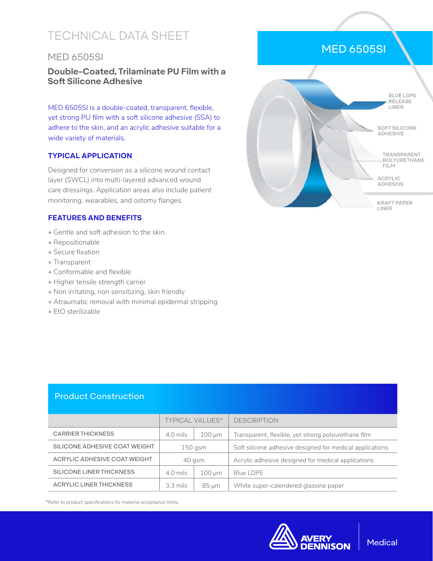# TECHNICAL DATA SHEET

## MED 6505SI

## **Double-Coated, Trilaminate PU Film with a Soft Silicone Adhesive**

MED 6505SI is a double-coated, transparent, flexible, yet strong PU film with a soft silicone adhesive (SSA) to adhere to the skin, and an acrylic adhesive suitable for a wide variety of materials.

### **TYPICAL APPLICATION**

Designed for conversion as a silicone wound contact layer (SWCL) into multi-layered advanced wound care dressings. Application areas also include patient monitoring, wearables, and ostomy flanges.

### **FEATURES AND BENEFITS**

- Gentle and soft adhesion to the skin
- Repositionable
- Secure fixation
- Transparent
- Conformable and flexible
- Higher tensile strength carrier
- Non irritating, non sensitizing, skin friendly
- Atraumatic removal with minimal epidermal stripping
- EtO sterilizable



# TYPICAL VALUES\* DESCRIPTION CARRIER THICKNESS 4.0 mils 100 μm Transparent, flexible, yet strong polyurethane film SILICONE ADHESIVE COAT WEIGHT  $\vert$  150 gsm  $\vert$  Soft silicone adhesive designed for medical applications ACRYLIC ADHESIVE COAT WEIGHT  $\begin{vmatrix} 40 & 40 & 40 \\ 4 & 4 & 40 \end{vmatrix}$  Acrylic adhesive designed for medical applications SILICONE LINER THICKNESS 4.0 mils 100 μm Blue LDPE ACRYLIC LINER THICKNESS  $\begin{vmatrix} 3.3 \text{ miles} \end{vmatrix}$  85  $\mu$ m White super-calendered glassine paper Product Construction

\*Refer to product specifications for material acceptance limits.